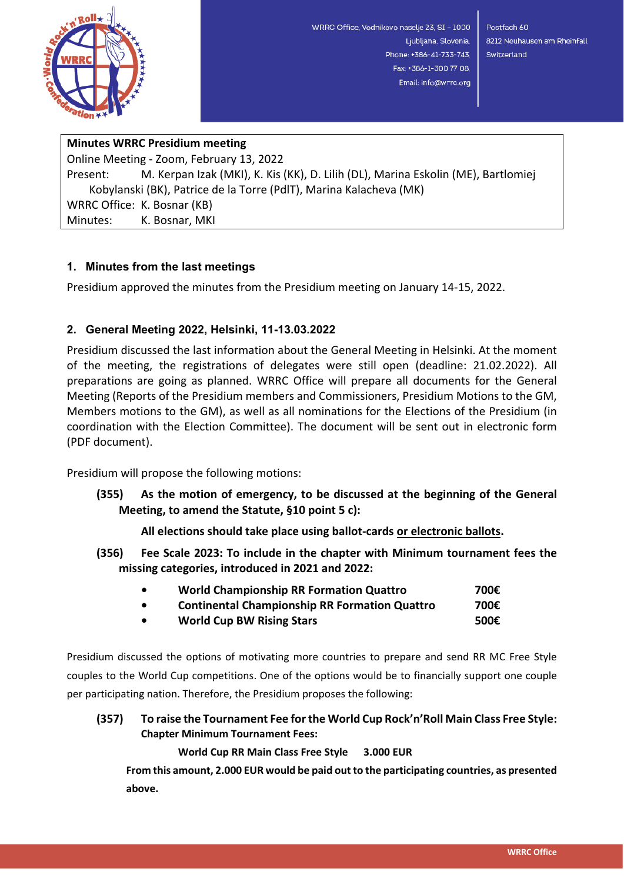

WRRC Office, Vodnikovo naselje 23, SI - 1000 Ljubljana, Slovenia, Phone: +386-41-733-743. Fax: +386-1-300 77 08. Email: info@wrrc.org

Postfach 60 8212 Neuhausen am Rheinfall Switzerland

# **Minutes WRRC Presidium meeting**

Online Meeting - Zoom, February 13, 2022 Present: M. Kerpan Izak (MKI), K. Kis (KK), D. Lilih (DL), Marina Eskolin (ME), Bartlomiej Kobylanski (BK), Patrice de la Torre (PdlT), Marina Kalacheva (MK) WRRC Office: K. Bosnar (KB) Minutes: K. Bosnar, MKI

### **1. Minutes from the last meetings**

Presidium approved the minutes from the Presidium meeting on January 14-15, 2022.

## **2. General Meeting 2022, Helsinki, 11-13.03.2022**

Presidium discussed the last information about the General Meeting in Helsinki. At the moment of the meeting, the registrations of delegates were still open (deadline: 21.02.2022). All preparations are going as planned. WRRC Office will prepare all documents for the General Meeting (Reports of the Presidium members and Commissioners, Presidium Motions to the GM, Members motions to the GM), as well as all nominations for the Elections of the Presidium (in coordination with the Election Committee). The document will be sent out in electronic form (PDF document).

Presidium will propose the following motions:

**(355) As the motion of emergency, to be discussed at the beginning of the General Meeting, to amend the Statute, §10 point 5 c):** 

**All elections should take place using ballot-cards or electronic ballots.**

**(356) Fee Scale 2023: To include in the chapter with Minimum tournament fees the missing categories, introduced in 2021 and 2022:**

| $\bullet$ | <b>World Championship RR Formation Quattro</b>       | 700€                                 |
|-----------|------------------------------------------------------|--------------------------------------|
| $\bullet$ | <b>Continental Championship RR Formation Quattro</b> | 700€                                 |
|           | $111.10 \pm 0.000$                                   | $F^{\wedge\wedge\wedge\wedge\wedge}$ |

**• World Cup BW Rising Stars 500€**

Presidium discussed the options of motivating more countries to prepare and send RR MC Free Style couples to the World Cup competitions. One of the options would be to financially support one couple per participating nation. Therefore, the Presidium proposes the following:

**(357) To raise the Tournament Fee for the World Cup Rock'n'Roll Main Class Free Style: Chapter Minimum Tournament Fees:**

**World Cup RR Main Class Free Style 3.000 EUR**

**From this amount, 2.000 EUR would be paid out to the participating countries, as presented above.**